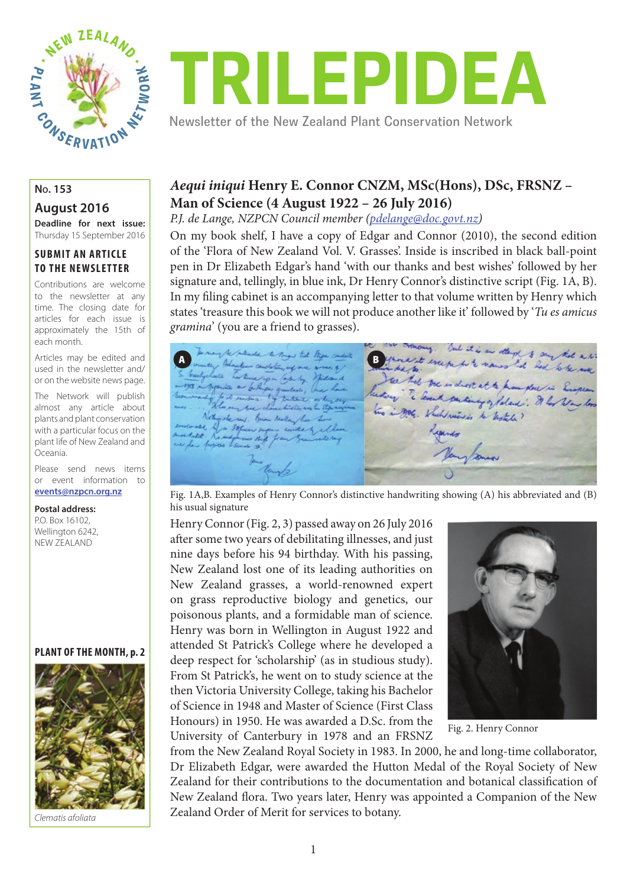

# TRILEPIDEA

Newsletter of the New Zealand Plant Conservation Network

**August 2016**

**Deadline for next issue:**  Thursday 15 September 2016

#### **SUBMIT AN ARTICLE TO THE NEWSLETTER**

Contributions are welcome to the newsletter at any time. The closing date for articles for each issue is approximately the 15th of each month.

Articles may be edited and used in the newsletter and/ or on the website news page.

The Network will publish almost any article about plants and plant conservation with a particular focus on the plant life of New Zealand and Oceania.

Please send news items or event information to **events@nzpcn.org.nz**

#### **Postal address:**

P.O. Box 16102, Wellington 6242. NEW ZEALAND

#### **PLANT OF THE MONTH, p. 2**



*Clematis afoliata*

### *Aequi iniqui* **Henry E. Connor CNZM, MSc(Hons), DSc, FRSNZ – Man of Science (4 August 1922 – 26 July 2016)**

*P.J. de Lange, NZPCN Council member (pdelange@doc.govt.nz)*

On my book shelf, I have a copy of Edgar and Connor (2010), the second edition of the 'Flora of New Zealand Vol. V. Grasses'. Inside is inscribed in black ball-point pen in Dr Elizabeth Edgar's hand 'with our thanks and best wishes' followed by her signature and, tellingly, in blue ink, Dr Henry Connor's distinctive script (Fig. 1A, B). In my filing cabinet is an accompanying letter to that volume written by Henry which states 'treasure this book we will not produce another like it' followed by '*Tu es amicus gramina*' (you are a friend to grasses).

on the many. Ind it is an other to say that a to To next be planter to the to the lige could fame it except he to names I de he had a h de Later See that we is dist at a prompture in England  $\lambda$ Te level parting of foland: I los Now los  $4.5.1$ two in gos, Which wis is to liste a? Nothing she was . Burn Neather has hear as by a Sofie editt. anytonia

Fig. 1A,B. Examples of Henry Connor's distinctive handwriting showing (A) his abbreviated and (B) his usual signature

Henry Connor (Fig. 2, 3) passed away on 26 July 2016 after some two years of debilitating illnesses, and just nine days before his 94 birthday. With his passing, New Zealand lost one of its leading authorities on New Zealand grasses, a world-renowned expert on grass reproductive biology and genetics, our poisonous plants, and a formidable man of science. Henry was born in Wellington in August 1922 and attended St Patrick's College where he developed a deep respect for 'scholarship' (as in studious study). From St Patrick's, he went on to study science at the then Victoria University College, taking his Bachelor of Science in 1948 and Master of Science (First Class Honours) in 1950. He was awarded a D.Sc. from the University of Canterbury in 1978 and an FRSNZ



Fig. 2. Henry Connor

from the New Zealand Royal Society in 1983. In 2000, he and long-time collaborator, Dr Elizabeth Edgar, were awarded the Hutton Medal of the Royal Society of New Zealand for their contributions to the documentation and botanical classification of New Zealand flora. Two years later, Henry was appointed a Companion of the New Zealand Order of Merit for services to botany.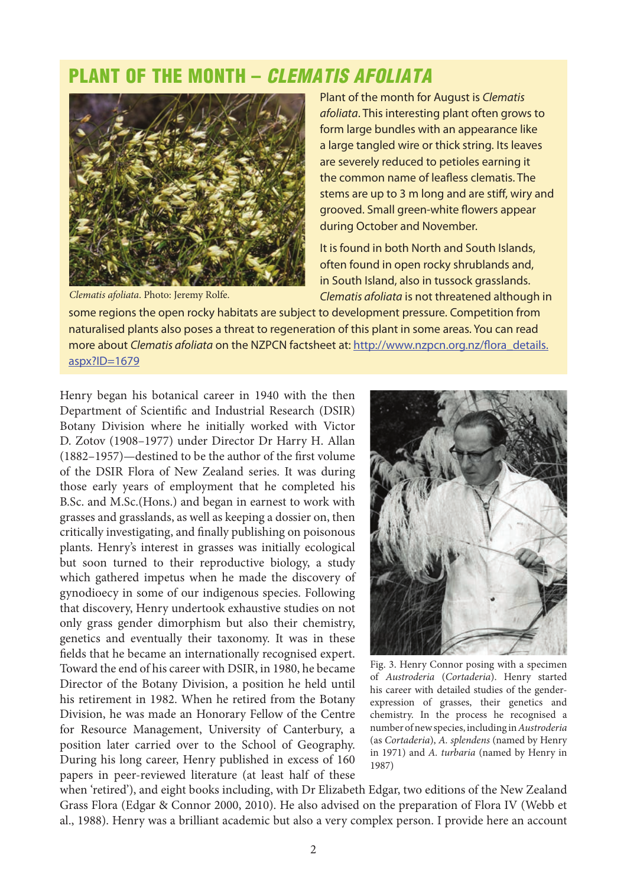# PLANT OF THE MONTH – CLEMATIS AFOLIATA



Plant of the month for August is *Clematis afoliata*. This interesting plant often grows to form large bundles with an appearance like a large tangled wire or thick string. Its leaves are severely reduced to petioles earning it the common name of leafless clematis. The stems are up to 3 m long and are stiff, wiry and grooved. Small green-white flowers appear during October and November.

It is found in both North and South Islands, often found in open rocky shrublands and, in South Island, also in tussock grasslands. *Clematis afoliata* is not threatened although in

some regions the open rocky habitats are subject to development pressure. Competition from naturalised plants also poses a threat to regeneration of this plant in some areas. You can read more about *Clematis afoliata* on the NZPCN factsheet at: http://www.nzpcn.org.nz/flora\_details. aspx?ID=1679

Henry began his botanical career in 1940 with the then Department of Scientific and Industrial Research (DSIR) Botany Division where he initially worked with Victor D. Zotov (1908–1977) under Director Dr Harry H. Allan  $(1882-1957)$ —destined to be the author of the first volume of the DSIR Flora of New Zealand series. It was during those early years of employment that he completed his B.Sc. and M.Sc.(Hons.) and began in earnest to work with grasses and grasslands, as well as keeping a dossier on, then critically investigating, and finally publishing on poisonous plants. Henry's interest in grasses was initially ecological but soon turned to their reproductive biology, a study which gathered impetus when he made the discovery of gynodioecy in some of our indigenous species. Following that discovery, Henry undertook exhaustive studies on not only grass gender dimorphism but also their chemistry, genetics and eventually their taxonomy. It was in these fields that he became an internationally recognised expert. Toward the end of his career with DSIR, in 1980, he became Director of the Botany Division, a position he held until his retirement in 1982. When he retired from the Botany Division, he was made an Honorary Fellow of the Centre for Resource Management, University of Canterbury, a position later carried over to the School of Geography. During his long career, Henry published in excess of 160 papers in peer-reviewed literature (at least half of these



Fig. 3. Henry Connor posing with a specimen of *Austroderia* (*Cortaderia*). Henry started his career with detailed studies of the genderexpression of grasses, their genetics and chemistry. In the process he recognised a number of new species, including in *Austroderia*  (as *Cortaderia*), *A. splendens* (named by Henry in 1971) and *A. turbaria* (named by Henry in 1987)

when 'retired'), and eight books including, with Dr Elizabeth Edgar, two editions of the New Zealand Grass Flora (Edgar & Connor 2000, 2010). He also advised on the preparation of Flora IV (Webb et al., 1988). Henry was a brilliant academic but also a very complex person. I provide here an account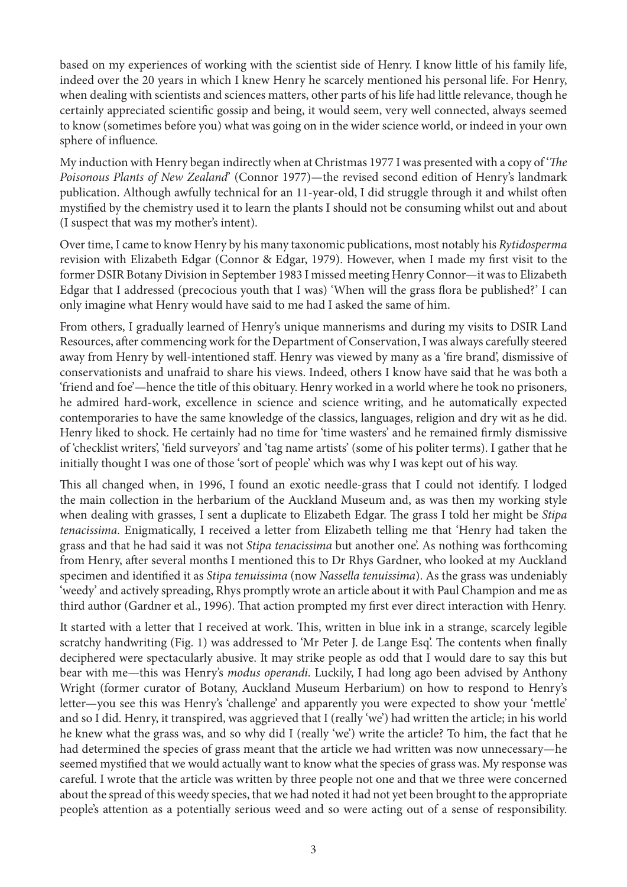based on my experiences of working with the scientist side of Henry. I know little of his family life, indeed over the 20 years in which I knew Henry he scarcely mentioned his personal life. For Henry, when dealing with scientists and sciences matters, other parts of his life had little relevance, though he certainly appreciated scientific gossip and being, it would seem, very well connected, always seemed to know (sometimes before you) what was going on in the wider science world, or indeed in your own sphere of influence.

My induction with Henry began indirectly when at Christmas 1977 I was presented with a copy of '*The Poisonous Plants of New Zealand*' (Connor 1977)—the revised second edition of Henry's landmark publication. Although awfully technical for an 11-year-old, I did struggle through it and whilst often mystified by the chemistry used it to learn the plants I should not be consuming whilst out and about (I suspect that was my mother's intent).

Over time, I came to know Henry by his many taxonomic publications, most notably his *Rytidosperma* revision with Elizabeth Edgar (Connor & Edgar, 1979). However, when I made my first visit to the former DSIR Botany Division in September 1983 I missed meeting Henry Connor—it was to Elizabeth Edgar that I addressed (precocious youth that I was) 'When will the grass flora be published?' I can only imagine what Henry would have said to me had I asked the same of him.

From others, I gradually learned of Henry's unique mannerisms and during my visits to DSIR Land Resources, after commencing work for the Department of Conservation, I was always carefully steered away from Henry by well-intentioned staff. Henry was viewed by many as a 'fire brand', dismissive of conservationists and unafraid to share his views. Indeed, others I know have said that he was both a 'friend and foe'—hence the title of this obituary. Henry worked in a world where he took no prisoners, he admired hard-work, excellence in science and science writing, and he automatically expected contemporaries to have the same knowledge of the classics, languages, religion and dry wit as he did. Henry liked to shock. He certainly had no time for 'time wasters' and he remained firmly dismissive of 'checklist writers', 'field surveyors' and 'tag name artists' (some of his politer terms). I gather that he initially thought I was one of those 'sort of people' which was why I was kept out of his way.

This all changed when, in 1996, I found an exotic needle-grass that I could not identify. I lodged the main collection in the herbarium of the Auckland Museum and, as was then my working style when dealing with grasses, I sent a duplicate to Elizabeth Edgar. The grass I told her might be *Stipa tenacissima*. Enigmatically, I received a letter from Elizabeth telling me that 'Henry had taken the grass and that he had said it was not *Stipa tenacissima* but another one'. As nothing was forthcoming from Henry, after several months I mentioned this to Dr Rhys Gardner, who looked at my Auckland specimen and identified it as *Stipa tenuissima* (now *Nassella tenuissima*). As the grass was undeniably 'weedy' and actively spreading, Rhys promptly wrote an article about it with Paul Champion and me as third author (Gardner et al., 1996). That action prompted my first ever direct interaction with Henry.

It started with a letter that I received at work. This, written in blue ink in a strange, scarcely legible scratchy handwriting (Fig. 1) was addressed to 'Mr Peter J. de Lange Esq'. The contents when finally deciphered were spectacularly abusive. It may strike people as odd that I would dare to say this but bear with me—this was Henry's *modus operandi*. Luckily, I had long ago been advised by Anthony Wright (former curator of Botany, Auckland Museum Herbarium) on how to respond to Henry's letter—you see this was Henry's 'challenge' and apparently you were expected to show your 'mettle' and so I did. Henry, it transpired, was aggrieved that I (really 'we') had written the article; in his world he knew what the grass was, and so why did I (really 'we') write the article? To him, the fact that he had determined the species of grass meant that the article we had written was now unnecessary—he seemed mystified that we would actually want to know what the species of grass was. My response was careful. I wrote that the article was written by three people not one and that we three were concerned about the spread of this weedy species, that we had noted it had not yet been brought to the appropriate people's attention as a potentially serious weed and so were acting out of a sense of responsibility.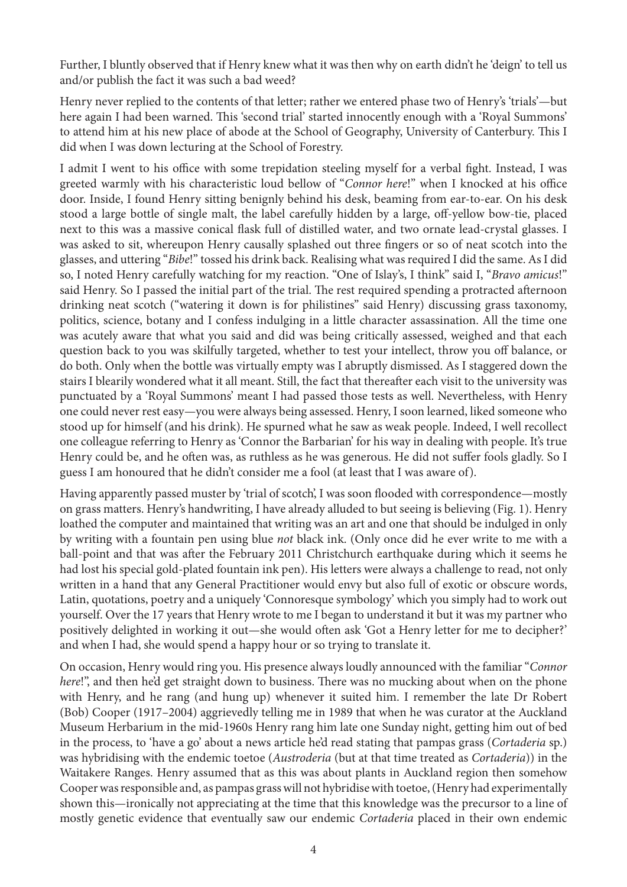Further, I bluntly observed that if Henry knew what it was then why on earth didn't he 'deign' to tell us and/or publish the fact it was such a bad weed?

Henry never replied to the contents of that letter; rather we entered phase two of Henry's 'trials'—but here again I had been warned. This 'second trial' started innocently enough with a 'Royal Summons' to attend him at his new place of abode at the School of Geography, University of Canterbury. This I did when I was down lecturing at the School of Forestry.

I admit I went to his office with some trepidation steeling myself for a verbal fight. Instead, I was greeted warmly with his characteristic loud bellow of "*Connor here*!" when I knocked at his office door. Inside, I found Henry sitting benignly behind his desk, beaming from ear-to-ear. On his desk stood a large bottle of single malt, the label carefully hidden by a large, off-yellow bow-tie, placed next to this was a massive conical flask full of distilled water, and two ornate lead-crystal glasses. I was asked to sit, whereupon Henry causally splashed out three fingers or so of neat scotch into the glasses, and uttering "*Bibe*!" tossed his drink back. Realising what was required I did the same. As I did so, I noted Henry carefully watching for my reaction. "One of Islay's, I think" said I, "*Bravo amicus*!" said Henry. So I passed the initial part of the trial. The rest required spending a protracted afternoon drinking neat scotch ("watering it down is for philistines" said Henry) discussing grass taxonomy, politics, science, botany and I confess indulging in a little character assassination. All the time one was acutely aware that what you said and did was being critically assessed, weighed and that each question back to you was skilfully targeted, whether to test your intellect, throw you off balance, or do both. Only when the bottle was virtually empty was I abruptly dismissed. As I staggered down the stairs I blearily wondered what it all meant. Still, the fact that thereafter each visit to the university was punctuated by a 'Royal Summons' meant I had passed those tests as well. Nevertheless, with Henry one could never rest easy—you were always being assessed. Henry, I soon learned, liked someone who stood up for himself (and his drink). He spurned what he saw as weak people. Indeed, I well recollect one colleague referring to Henry as 'Connor the Barbarian' for his way in dealing with people. It's true Henry could be, and he often was, as ruthless as he was generous. He did not suffer fools gladly. So I guess I am honoured that he didn't consider me a fool (at least that I was aware of).

Having apparently passed muster by 'trial of scotch', I was soon flooded with correspondence—mostly on grass matters. Henry's handwriting, I have already alluded to but seeing is believing (Fig. 1). Henry loathed the computer and maintained that writing was an art and one that should be indulged in only by writing with a fountain pen using blue *not* black ink. (Only once did he ever write to me with a ball-point and that was after the February 2011 Christchurch earthquake during which it seems he had lost his special gold-plated fountain ink pen). His letters were always a challenge to read, not only written in a hand that any General Practitioner would envy but also full of exotic or obscure words, Latin, quotations, poetry and a uniquely 'Connoresque symbology' which you simply had to work out yourself. Over the 17 years that Henry wrote to me I began to understand it but it was my partner who positively delighted in working it out—she would often ask 'Got a Henry letter for me to decipher?' and when I had, she would spend a happy hour or so trying to translate it.

On occasion, Henry would ring you. His presence always loudly announced with the familiar "*Connor here*!", and then he'd get straight down to business. There was no mucking about when on the phone with Henry, and he rang (and hung up) whenever it suited him. I remember the late Dr Robert (Bob) Cooper (1917–2004) aggrievedly telling me in 1989 that when he was curator at the Auckland Museum Herbarium in the mid-1960s Henry rang him late one Sunday night, getting him out of bed in the process, to 'have a go' about a news article he'd read stating that pampas grass (*Cortaderia* sp.) was hybridising with the endemic toetoe (*Austroderia* (but at that time treated as *Cortaderia*)) in the Waitakere Ranges. Henry assumed that as this was about plants in Auckland region then somehow Cooper was responsible and, as pampas grass will not hybridise with toetoe, (Henry had experimentally shown this—ironically not appreciating at the time that this knowledge was the precursor to a line of mostly genetic evidence that eventually saw our endemic *Cortaderia* placed in their own endemic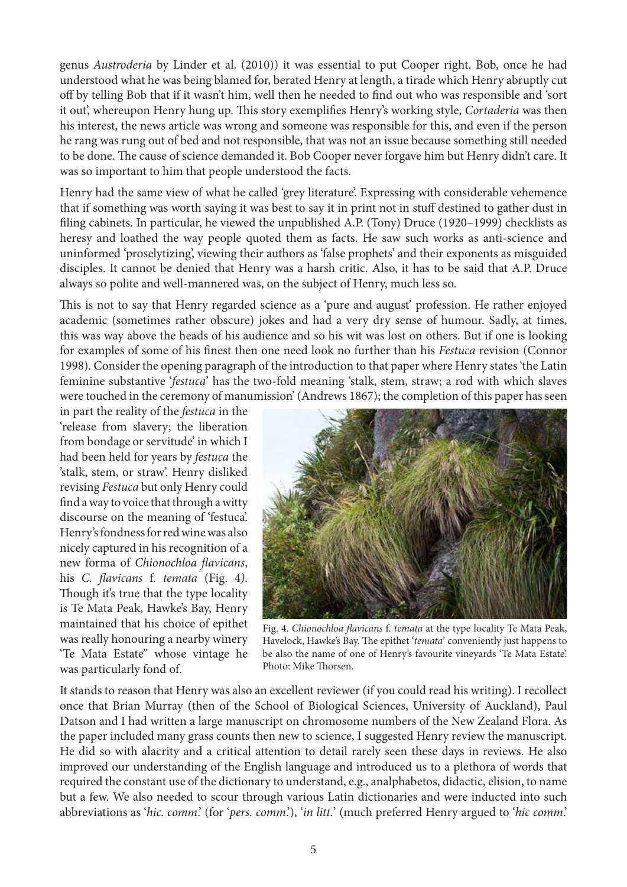genus *Austroderia* by Linder et al. (2010)) it was essential to put Cooper right. Bob, once he had understood what he was being blamed for, berated Henry at length, a tirade which Henry abruptly cut off by telling Bob that if it wasn't him, well then he needed to find out who was responsible and 'sort it out', whereupon Henry hung up. This story exemplifies Henry's working style, *Cortaderia* was then his interest, the news article was wrong and someone was responsible for this, and even if the person he rang was rung out of bed and not responsible, that was not an issue because something still needed to be done. The cause of science demanded it. Bob Cooper never forgave him but Henry didn't care. It was so important to him that people understood the facts.

Henry had the same view of what he called 'grey literature'. Expressing with considerable vehemence that if something was worth saying it was best to say it in print not in stuff destined to gather dust in filing cabinets. In particular, he viewed the unpublished A.P. (Tony) Druce (1920–1999) checklists as heresy and loathed the way people quoted them as facts. He saw such works as anti-science and uninformed 'proselytizing', viewing their authors as 'false prophets' and their exponents as misguided disciples. It cannot be denied that Henry was a harsh critic. Also, it has to be said that A.P. Druce always so polite and well-mannered was, on the subject of Henry, much less so.

This is not to say that Henry regarded science as a 'pure and august' profession. He rather enjoyed academic (sometimes rather obscure) jokes and had a very dry sense of humour. Sadly, at times, this was way above the heads of his audience and so his wit was lost on others. But if one is looking for examples of some of his finest then one need look no further than his *Festuca* revision (Connor 1998). Consider the opening paragraph of the introduction to that paper where Henry states 'the Latin feminine substantive '*festuca*' has the two-fold meaning 'stalk, stem, straw; a rod with which slaves were touched in the ceremony of manumission' (Andrews 1867); the completion of this paper has seen

in part the reality of the *festuca* in the 'release from slavery; the liberation from bondage or servitude' in which I had been held for years by *festuca* the 'stalk, stem, or straw'. Henry disliked revising *Festuca* but only Henry could find a way to voice that through a witty discourse on the meaning of 'festuca'. Henry's fondness for red wine was also nicely captured in his recognition of a new forma of *Chionochloa flavicans*, his *C. flavicans* f. *temata* (Fig. 4*)*. Though it's true that the type locality is Te Mata Peak, Hawke's Bay, Henry maintained that his choice of epithet was really honouring a nearby winery 'Te Mata Estate" whose vintage he was particularly fond of.



Fig. 4. *Chionochloa flavicans* f. *temata* at the type locality Te Mata Peak, Havelock, Hawke's Bay. The epithet '*temata*' conveniently just happens to be also the name of one of Henry's favourite vineyards 'Te Mata Estate'. Photo: Mike Thorsen.

It stands to reason that Henry was also an excellent reviewer (if you could read his writing). I recollect once that Brian Murray (then of the School of Biological Sciences, University of Auckland), Paul Datson and I had written a large manuscript on chromosome numbers of the New Zealand Flora. As the paper included many grass counts then new to science, I suggested Henry review the manuscript. He did so with alacrity and a critical attention to detail rarely seen these days in reviews. He also improved our understanding of the English language and introduced us to a plethora of words that required the constant use of the dictionary to understand, e.g., analphabetos, didactic, elision, to name but a few. We also needed to scour through various Latin dictionaries and were inducted into such abbreviations as '*hic. comm*.' (for '*pers. comm*.'), '*in litt.*' (much preferred Henry argued to '*hic comm*.'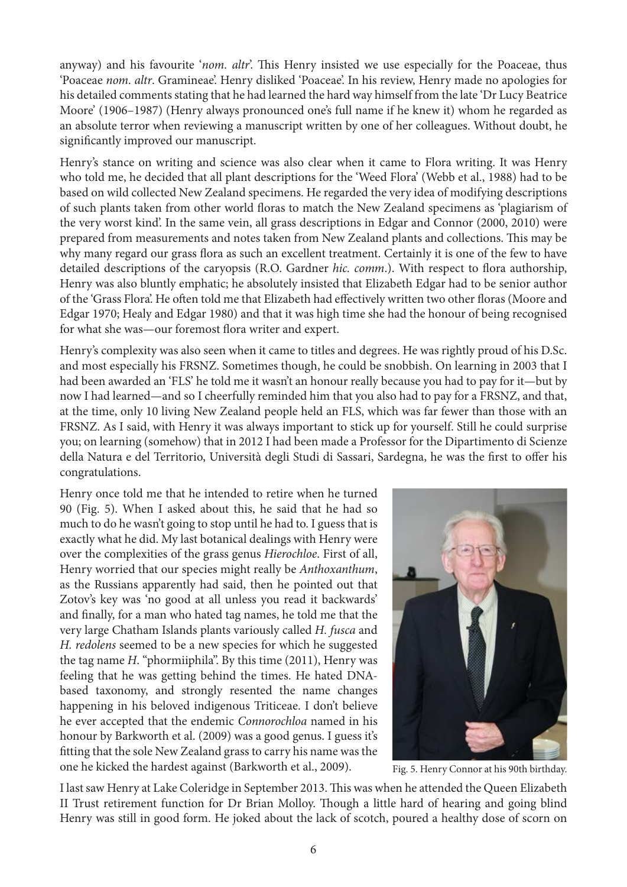anyway) and his favourite '*nom. altr*'. This Henry insisted we use especially for the Poaceae, thus 'Poaceae *nom. altr*. Gramineae'. Henry disliked 'Poaceae'. In his review, Henry made no apologies for his detailed comments stating that he had learned the hard way himself from the late 'Dr Lucy Beatrice Moore' (1906–1987) (Henry always pronounced one's full name if he knew it) whom he regarded as an absolute terror when reviewing a manuscript written by one of her colleagues. Without doubt, he significantly improved our manuscript.

Henry's stance on writing and science was also clear when it came to Flora writing. It was Henry who told me, he decided that all plant descriptions for the 'Weed Flora' (Webb et al., 1988) had to be based on wild collected New Zealand specimens. He regarded the very idea of modifying descriptions of such plants taken from other world floras to match the New Zealand specimens as 'plagiarism of the very worst kind'. In the same vein, all grass descriptions in Edgar and Connor (2000, 2010) were prepared from measurements and notes taken from New Zealand plants and collections. This may be why many regard our grass flora as such an excellent treatment. Certainly it is one of the few to have detailed descriptions of the caryopsis (R.O. Gardner *hic. comm*.). With respect to flora authorship, Henry was also bluntly emphatic; he absolutely insisted that Elizabeth Edgar had to be senior author of the 'Grass Flora'. He often told me that Elizabeth had effectively written two other floras (Moore and Edgar 1970; Healy and Edgar 1980) and that it was high time she had the honour of being recognised for what she was—our foremost flora writer and expert.

Henry's complexity was also seen when it came to titles and degrees. He was rightly proud of his D.Sc. and most especially his FRSNZ. Sometimes though, he could be snobbish. On learning in 2003 that I had been awarded an 'FLS' he told me it wasn't an honour really because you had to pay for it—but by now I had learned—and so I cheerfully reminded him that you also had to pay for a FRSNZ, and that, at the time, only 10 living New Zealand people held an FLS, which was far fewer than those with an FRSNZ. As I said, with Henry it was always important to stick up for yourself. Still he could surprise you; on learning (somehow) that in 2012 I had been made a Professor for the Dipartimento di Scienze della Natura e del Territorio, Università degli Studi di Sassari, Sardegna, he was the first to offer his congratulations.

Henry once told me that he intended to retire when he turned 90 (Fig. 5). When I asked about this, he said that he had so much to do he wasn't going to stop until he had to. I guess that is exactly what he did. My last botanical dealings with Henry were over the complexities of the grass genus *Hierochloe*. First of all, Henry worried that our species might really be *Anthoxanthum*, as the Russians apparently had said, then he pointed out that Zotov's key was 'no good at all unless you read it backwards' and finally, for a man who hated tag names, he told me that the very large Chatham Islands plants variously called *H. fusca* and *H. redolens* seemed to be a new species for which he suggested the tag name *H*. "phormiiphila". By this time (2011), Henry was feeling that he was getting behind the times. He hated DNAbased taxonomy, and strongly resented the name changes happening in his beloved indigenous Triticeae. I don't believe he ever accepted that the endemic *Connorochloa* named in his honour by Barkworth et al. (2009) was a good genus. I guess it's fitting that the sole New Zealand grass to carry his name was the one he kicked the hardest against (Barkworth et al., 2009).



Fig. 5. Henry Connor at his 90th birthday.

I last saw Henry at Lake Coleridge in September 2013. This was when he attended the Queen Elizabeth II Trust retirement function for Dr Brian Molloy. Though a little hard of hearing and going blind Henry was still in good form. He joked about the lack of scotch, poured a healthy dose of scorn on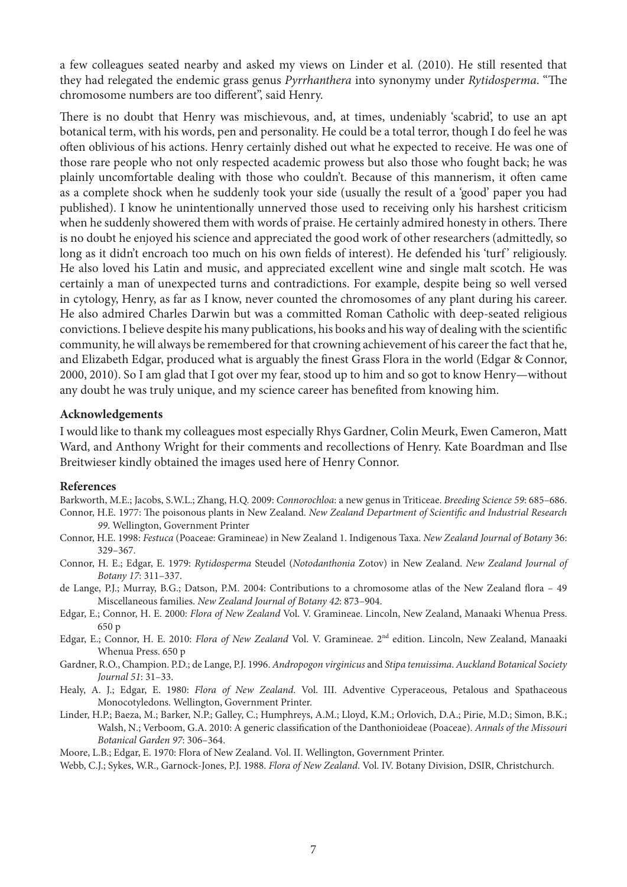a few colleagues seated nearby and asked my views on Linder et al. (2010). He still resented that they had relegated the endemic grass genus *Pyrrhanthera* into synonymy under *Rytidosperma*. "The chromosome numbers are too different", said Henry.

There is no doubt that Henry was mischievous, and, at times, undeniably 'scabrid', to use an apt botanical term, with his words, pen and personality. He could be a total terror, though I do feel he was often oblivious of his actions. Henry certainly dished out what he expected to receive. He was one of those rare people who not only respected academic prowess but also those who fought back; he was plainly uncomfortable dealing with those who couldn't. Because of this mannerism, it often came as a complete shock when he suddenly took your side (usually the result of a 'good' paper you had published). I know he unintentionally unnerved those used to receiving only his harshest criticism when he suddenly showered them with words of praise. He certainly admired honesty in others. There is no doubt he enjoyed his science and appreciated the good work of other researchers (admittedly, so long as it didn't encroach too much on his own fields of interest). He defended his 'turf' religiously. He also loved his Latin and music, and appreciated excellent wine and single malt scotch. He was certainly a man of unexpected turns and contradictions. For example, despite being so well versed in cytology, Henry, as far as I know, never counted the chromosomes of any plant during his career. He also admired Charles Darwin but was a committed Roman Catholic with deep-seated religious convictions. I believe despite his many publications, his books and his way of dealing with the scientific community, he will always be remembered for that crowning achievement of his career the fact that he, and Elizabeth Edgar, produced what is arguably the finest Grass Flora in the world (Edgar & Connor, 2000, 2010). So I am glad that I got over my fear, stood up to him and so got to know Henry—without any doubt he was truly unique, and my science career has benefited from knowing him.

#### **Acknowledgements**

I would like to thank my colleagues most especially Rhys Gardner, Colin Meurk, Ewen Cameron, Matt Ward, and Anthony Wright for their comments and recollections of Henry. Kate Boardman and Ilse Breitwieser kindly obtained the images used here of Henry Connor.

#### **References**

Barkworth, M.E.; Jacobs, S.W.L.; Zhang, H.Q. 2009: *Connorochloa*: a new genus in Triticeae. *Breeding Science 59*: 685–686. Connor, H.E. 1977: The poisonous plants in New Zealand. *New Zealand Department of Scientific and Industrial Research 99*. Wellington, Government Printer

- Connor, H.E. 1998: *Festuca* (Poaceae: Gramineae) in New Zealand 1. Indigenous Taxa. *New Zealand Journal of Botany* 36: 329–367.
- Connor, H. E.; Edgar, E. 1979: *Rytidosperma* Steudel (*Notodanthonia* Zotov) in New Zealand. *New Zealand Journal of Botany 17*: 311–337.
- de Lange, P.J.; Murray, B.G.; Datson, P.M. 2004: Contributions to a chromosome atlas of the New Zealand flora 49 Miscellaneous families. *New Zealand Journal of Botany 42*: 873–904.
- Edgar, E.; Connor, H. E. 2000: *Flora of New Zealand* Vol. V. Gramineae. Lincoln, New Zealand, Manaaki Whenua Press. 650 p
- Edgar, E.; Connor, H. E. 2010: *Flora of New Zealand* Vol. V. Gramineae. 2nd edition. Lincoln, New Zealand, Manaaki Whenua Press. 650 p
- Gardner, R.O., Champion. P.D.; de Lange, P.J. 1996. *Andropogon virginicus* and *Stipa tenuissima*. *Auckland Botanical Society Journal 51*: 31–33.
- Healy, A. J.; Edgar, E. 1980: *Flora of New Zealand*. Vol. III. Adventive Cyperaceous, Petalous and Spathaceous Monocotyledons. Wellington, Government Printer.
- Linder, H.P.; Baeza, M.; Barker, N.P.; Galley, C.; Humphreys, A.M.; Lloyd, K.M.; Orlovich, D.A.; Pirie, M.D.; Simon, B.K.; Walsh, N.; Verboom, G.A. 2010: A generic classification of the Danthonioideae (Poaceae). *Annals of the Missouri Botanical Garden 97*: 306–364.

Moore, L.B.; Edgar, E. 1970: Flora of New Zealand. Vol. II. Wellington, Government Printer.

Webb, C.J.; Sykes, W.R., Garnock-Jones, P.J. 1988. *Flora of New Zealand*. Vol. IV. Botany Division, DSIR, Christchurch.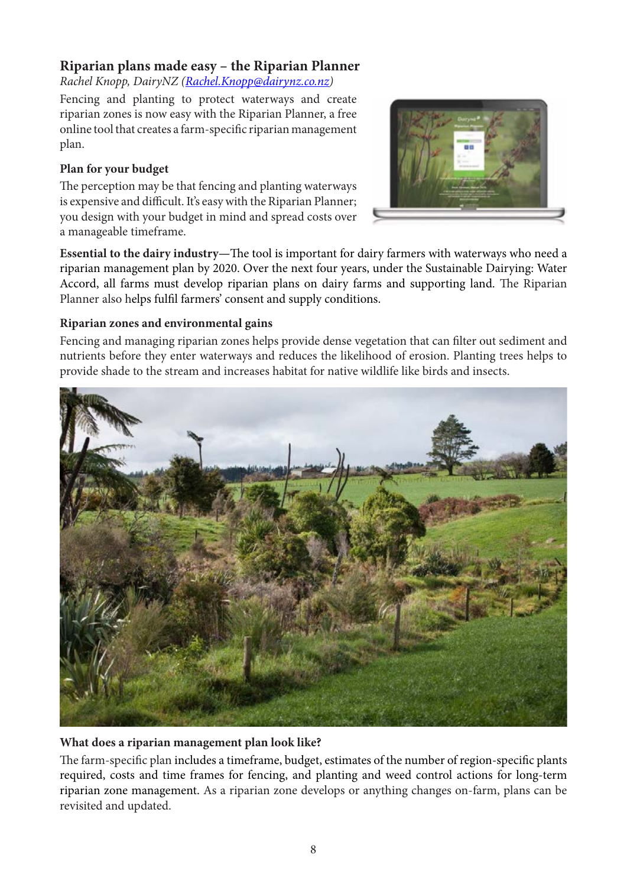### **Riparian plans made easy – the Riparian Planner**

*Rachel Knopp, DairyNZ [\(Rachel.Knopp@dairynz.co.nz\)](mailto:Rachel.Knopp@dairynz.co.nz)* 

Fencing and planting to protect waterways and create riparian zones is now easy with the Riparian Planner, a free online tool that creates a farm-specific riparian management plan.

#### **Plan for your budget**

The perception may be that fencing and planting waterways is expensive and difficult. It's easy with the Riparian Planner; you design with your budget in mind and spread costs over a manageable timeframe.



**Essential to the dairy industry—**The tool is important for dairy farmers with waterways who need a riparian management plan by 2020. Over the next four years, under the Sustainable Dairying: Water Accord, all farms must develop riparian plans on dairy farms and supporting land. The Riparian Planner also helps fulfil farmers' consent and supply conditions.

#### **Riparian zones and environmental gains**

Fencing and managing riparian zones helps provide dense vegetation that can filter out sediment and nutrients before they enter waterways and reduces the likelihood of erosion. Planting trees helps to provide shade to the stream and increases habitat for native wildlife like birds and insects.



#### **What does a riparian management plan look like?**

The farm-specific plan includes a timeframe, budget, estimates of the number of region-specific plants required, costs and time frames for fencing, and planting and weed control actions for long-term riparian zone management. As a riparian zone develops or anything changes on-farm, plans can be revisited and updated.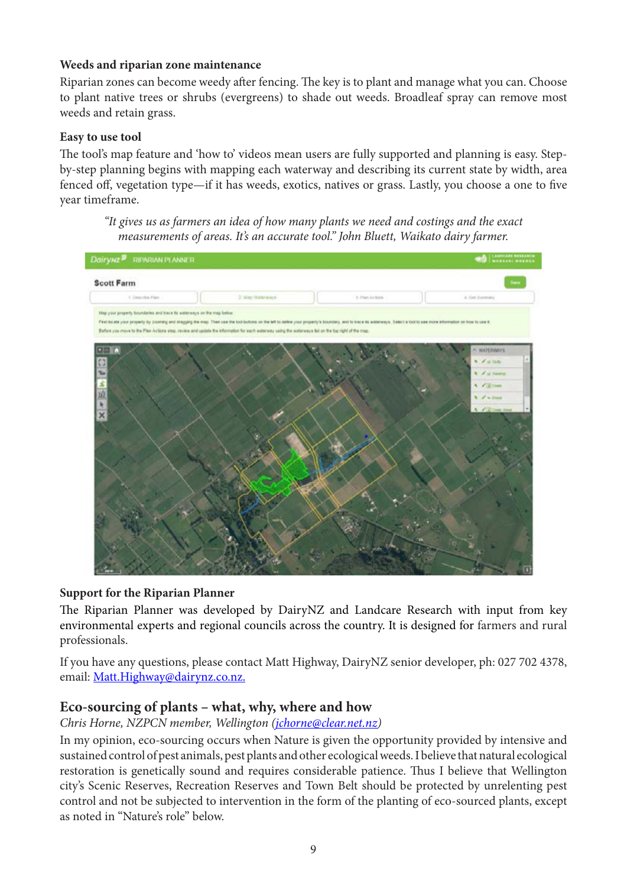#### **Weeds and riparian zone maintenance**

Riparian zones can become weedy after fencing. The key is to plant and manage what you can. Choose to plant native trees or shrubs (evergreens) to shade out weeds. Broadleaf spray can remove most weeds and retain grass.

#### **Easy to use tool**

The tool's map feature and 'how to' videos mean users are fully supported and planning is easy. Stepby-step planning begins with mapping each waterway and describing its current state by width, area fenced off, vegetation type—if it has weeds, exotics, natives or grass. Lastly, you choose a one to five year timeframe.

*"It gives us as farmers an idea of how many plants we need and costings and the exact measurements of areas. It's an accurate tool." John Bluett, Waikato dairy farmer.*



#### **Support for the Riparian Planner**

The Riparian Planner was developed by DairyNZ and Landcare Research with input from key environmental experts and regional councils across the country. It is designed for farmers and rural professionals.

If you have any questions, please contact Matt Highway, DairyNZ senior developer, ph: 027 702 4378, email: [Matt.Highway@dairynz.co.nz](mailto:Matt.Highway@dairynz.co.nz).

#### **Eco-sourcing of plants – what, why, where and how**

*Chris Horne, NZPCN member, Wellington ([jchorne@clear.net.nz](mailto:jchorne@clear.net.nz))* 

In my opinion, eco-sourcing occurs when Nature is given the opportunity provided by intensive and sustained control of pest animals, pest plants and other ecological weeds. I believe that natural ecological restoration is genetically sound and requires considerable patience. Thus I believe that Wellington city's Scenic Reserves, Recreation Reserves and Town Belt should be protected by unrelenting pest control and not be subjected to intervention in the form of the planting of eco-sourced plants, except as noted in "Nature's role" below.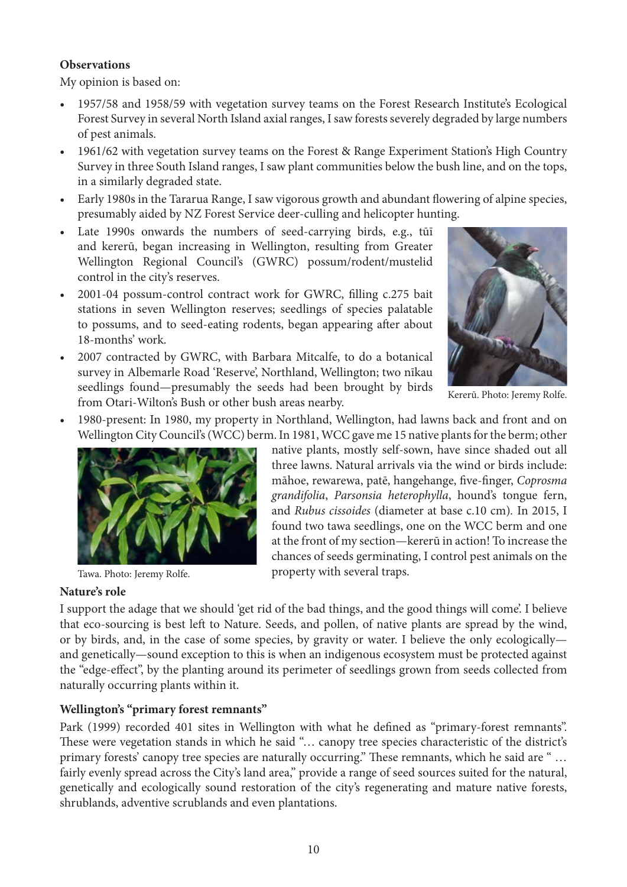#### **Observations**

My opinion is based on:

- 1957/58 and 1958/59 with vegetation survey teams on the Forest Research Institute's Ecological Forest Survey in several North Island axial ranges, I saw forests severely degraded by large numbers of pest animals.
- 1961/62 with vegetation survey teams on the Forest & Range Experiment Station's High Country Survey in three South Island ranges, I saw plant communities below the bush line, and on the tops, in a similarly degraded state.
- Early 1980s in the Tararua Range, I saw vigorous growth and abundant flowering of alpine species, presumably aided by NZ Forest Service deer-culling and helicopter hunting.
- Late 1990s onwards the numbers of seed-carrying birds, e.g., tūī and kererū, began increasing in Wellington, resulting from Greater Wellington Regional Council's (GWRC) possum/rodent/mustelid control in the city's reserves.
- 2001-04 possum-control contract work for GWRC, filling c.275 bait stations in seven Wellington reserves; seedlings of species palatable to possums, and to seed-eating rodents, began appearing after about 18-months' work.
- 2007 contracted by GWRC, with Barbara Mitcalfe, to do a botanical survey in Albemarle Road 'Reserve', Northland, Wellington; two nīkau seedlings found—presumably the seeds had been brought by birds from Otari-Wilton's Bush or other bush areas nearby.



Kererū. Photo: Jeremy Rolfe.

• 1980-present: In 1980, my property in Northland, Wellington, had lawns back and front and on Wellington City Council's (WCC) berm. In 1981, WCC gave me 15 native plants for the berm; other



Tawa. Photo: Jeremy Rolfe.

#### native plants, mostly self-sown, have since shaded out all three lawns. Natural arrivals via the wind or birds include: māhoe, rewarewa, patē, hangehange, five-finger, *Coprosma grandifolia*, *Parsonsia heterophylla*, hound's tongue fern, and *Rubus cissoides* (diameter at base c.10 cm)*.* In 2015, I found two tawa seedlings, one on the WCC berm and one at the front of my section—kererū in action! To increase the chances of seeds germinating, I control pest animals on the property with several traps.

#### **Nature's role**

I support the adage that we should 'get rid of the bad things, and the good things will come'. I believe that eco-sourcing is best left to Nature. Seeds, and pollen, of native plants are spread by the wind, or by birds, and, in the case of some species, by gravity or water. I believe the only ecologically and genetically—sound exception to this is when an indigenous ecosystem must be protected against the "edge-effect", by the planting around its perimeter of seedlings grown from seeds collected from naturally occurring plants within it.

#### **Wellington's "primary forest remnants"**

Park (1999) recorded 401 sites in Wellington with what he defined as "primary-forest remnants". These were vegetation stands in which he said "… canopy tree species characteristic of the district's primary forests' canopy tree species are naturally occurring." These remnants, which he said are " ... fairly evenly spread across the City's land area," provide a range of seed sources suited for the natural, genetically and ecologically sound restoration of the city's regenerating and mature native forests, shrublands, adventive scrublands and even plantations.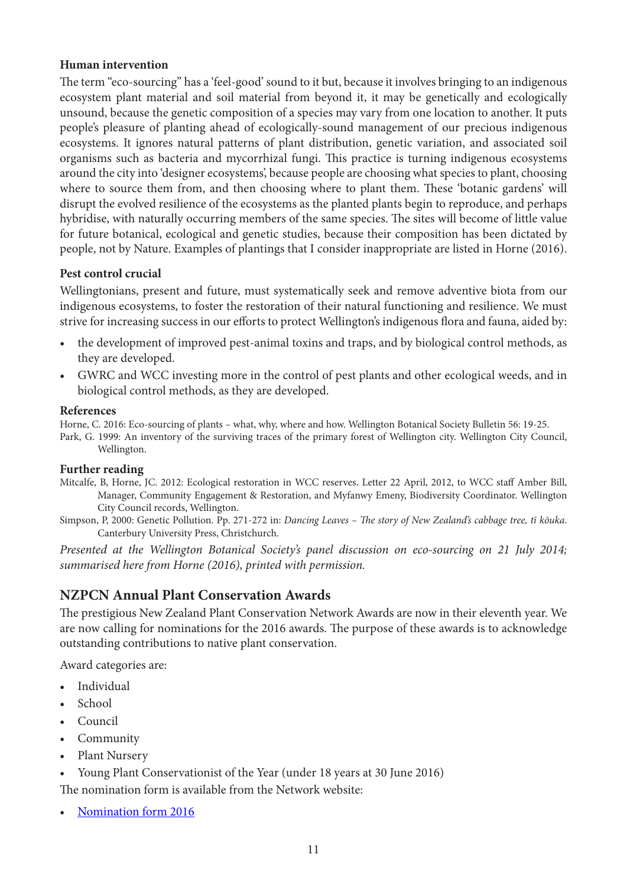#### **Human intervention**

The term "eco-sourcing" has a 'feel-good' sound to it but, because it involves bringing to an indigenous ecosystem plant material and soil material from beyond it, it may be genetically and ecologically unsound, because the genetic composition of a species may vary from one location to another. It puts people's pleasure of planting ahead of ecologically-sound management of our precious indigenous ecosystems. It ignores natural patterns of plant distribution, genetic variation, and associated soil organisms such as bacteria and mycorrhizal fungi. This practice is turning indigenous ecosystems around the city into 'designer ecosystems', because people are choosing what species to plant, choosing where to source them from, and then choosing where to plant them. These 'botanic gardens' will disrupt the evolved resilience of the ecosystems as the planted plants begin to reproduce, and perhaps hybridise, with naturally occurring members of the same species. The sites will become of little value for future botanical, ecological and genetic studies, because their composition has been dictated by people, not by Nature. Examples of plantings that I consider inappropriate are listed in Horne (2016).

#### **Pest control crucial**

Wellingtonians, present and future, must systematically seek and remove adventive biota from our indigenous ecosystems, to foster the restoration of their natural functioning and resilience. We must strive for increasing success in our efforts to protect Wellington's indigenous flora and fauna, aided by:

- the development of improved pest-animal toxins and traps, and by biological control methods, as they are developed.
- GWRC and WCC investing more in the control of pest plants and other ecological weeds, and in biological control methods, as they are developed.

#### **References**

Horne, C. 2016: Eco-sourcing of plants – what, why, where and how. Wellington Botanical Society Bulletin 56: 19-25.

Park, G. 1999: An inventory of the surviving traces of the primary forest of Wellington city. Wellington City Council, Wellington.

#### **Further reading**

- Mitcalfe, B, Horne, JC. 2012: Ecological restoration in WCC reserves. Letter 22 April, 2012, to WCC staff Amber Bill, Manager, Community Engagement & Restoration, and Myfanwy Emeny, Biodiversity Coordinator. Wellington City Council records, Wellington.
- Simpson, P, 2000: Genetic Pollution. Pp. 271-272 in: *Dancing Leaves The story of New Zealand's cabbage tree, tī kōuka*. Canterbury University Press, Christchurch.

*Presented at the Wellington Botanical Society's panel discussion on eco-sourcing on 21 July 2014; summarised here from Horne (2016), printed with permission.*

#### **NZPCN Annual Plant Conservation Awards**

The prestigious New Zealand Plant Conservation Network Awards are now in their eleventh year. We are now calling for nominations for the 2016 awards. The purpose of these awards is to acknowledge outstanding contributions to native plant conservation.

Award categories are:

- **Individual**
- School
- Council
- Community
- Plant Nursery
- Young Plant Conservationist of the Year (under 18 years at 30 June 2016) The nomination form is available from the Network website:
- [Nomination form 2016](http://nzpcn.org.nz/publications/NZPCN_AWARDS_2016_Nomination_form.pdf)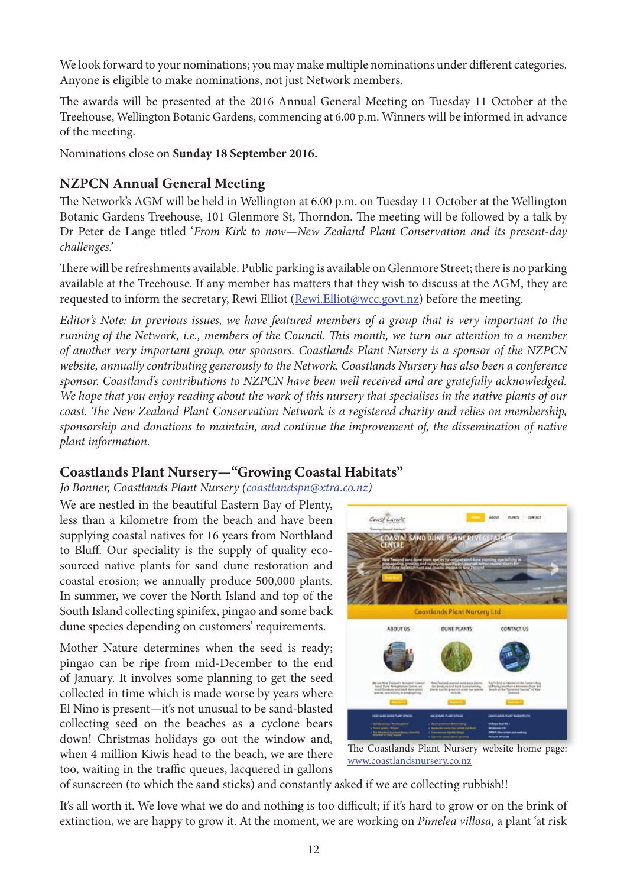We look forward to your nominations; you may make multiple nominations under different categories. Anyone is eligible to make nominations, not just Network members.

The awards will be presented at the 2016 Annual General Meeting on Tuesday 11 October at the Treehouse, Wellington Botanic Gardens, commencing at 6.00 p.m. Winners will be informed in advance of the meeting.

Nominations close on **Sunday 18 September 2016.**

#### **NZPCN Annual General Meeting**

The Network's AGM will be held in Wellington at 6.00 p.m. on Tuesday 11 October at the Wellington Botanic Gardens Treehouse, 101 Glenmore St, Thorndon. The meeting will be followed by a talk by Dr Peter de Lange titled '*From Kirk to now—New Zealand Plant Conservation and its present-day challenges.'*

There will be refreshments available. Public parking is available on Glenmore Street; there is no parking available at the Treehouse. If any member has matters that they wish to discuss at the AGM, they are requested to inform the secretary, Rewi Elliot (Rewi.Elliot@wcc.govt.nz) before the meeting.

*Editor's Note: In previous issues, we have featured members of a group that is very important to the running of the Network, i.e., members of the Council. This month, we turn our attention to a member of another very important group, our sponsors. Coastlands Plant Nursery is a sponsor of the NZPCN website, annually contributing generously to the Network. Coastlands Nursery has also been a conference sponsor. Coastland's contributions to NZPCN have been well received and are gratefully acknowledged. We hope that you enjoy reading about the work of this nursery that specialises in the native plants of our coast. The New Zealand Plant Conservation Network is a registered charity and relies on membership, sponsorship and donations to maintain, and continue the improvement of, the dissemination of native plant information.*

#### **Coastlands Plant Nursery—"Growing Coastal Habitats"**

*Jo Bonner, Coastlands Plant Nursery (coastlandspn@xtra.co.nz)* 

We are nestled in the beautiful Eastern Bay of Plenty, less than a kilometre from the beach and have been supplying coastal natives for 16 years from Northland to Bluff. Our speciality is the supply of quality ecosourced native plants for sand dune restoration and coastal erosion; we annually produce 500,000 plants. In summer, we cover the North Island and top of the South Island collecting spinifex, pingao and some back dune species depending on customers' requirements.

Mother Nature determines when the seed is ready; pingao can be ripe from mid-December to the end of January. It involves some planning to get the seed collected in time which is made worse by years where El Nino is present—it's not unusual to be sand-blasted collecting seed on the beaches as a cyclone bears down! Christmas holidays go out the window and, when 4 million Kiwis head to the beach, we are there too, waiting in the traffic queues, lacquered in gallons



The Coastlands Plant Nursery website home page: www.coastlandsnursery.co.nz

of sunscreen (to which the sand sticks) and constantly asked if we are collecting rubbish!!

It's all worth it. We love what we do and nothing is too difficult; if it's hard to grow or on the brink of extinction, we are happy to grow it. At the moment, we are working on *Pimelea villosa,* a plant 'at risk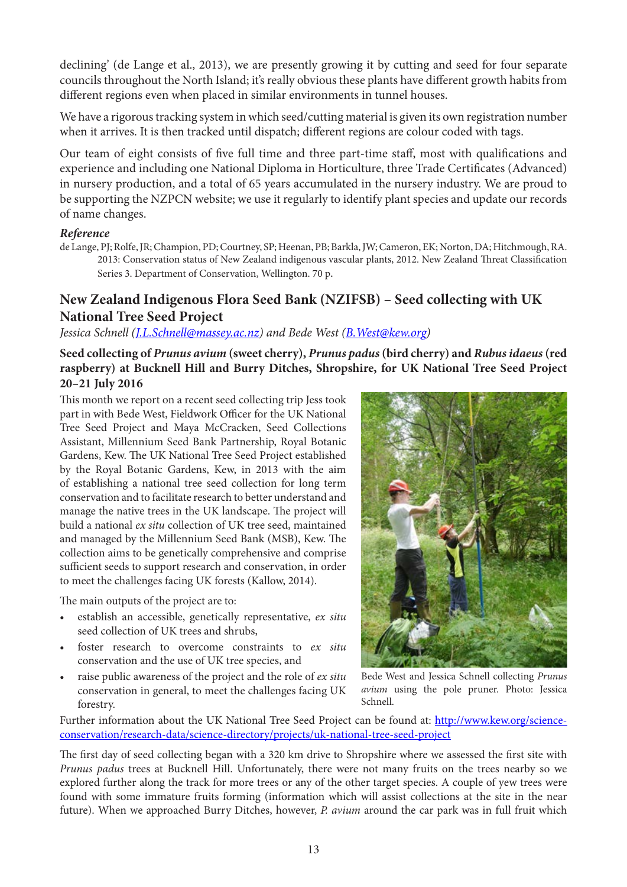declining' (de Lange et al., 2013), we are presently growing it by cutting and seed for four separate councils throughout the North Island; it's really obvious these plants have different growth habits from different regions even when placed in similar environments in tunnel houses.

We have a rigorous tracking system in which seed/cutting material is given its own registration number when it arrives. It is then tracked until dispatch; different regions are colour coded with tags.

Our team of eight consists of five full time and three part-time staff, most with qualifications and experience and including one National Diploma in Horticulture, three Trade Certificates (Advanced) in nursery production, and a total of 65 years accumulated in the nursery industry. We are proud to be supporting the NZPCN website; we use it regularly to identify plant species and update our records of name changes.

#### *Reference*

de Lange, PJ; Rolfe, JR; Champion, PD; Courtney, SP; Heenan, PB; Barkla, JW; Cameron, EK; Norton, DA; Hitchmough, RA. 2013: Conservation status of New Zealand indigenous vascular plants, 2012. New Zealand Threat Classification Series 3. Department of Conservation, Wellington. 70 p.

#### **New Zealand Indigenous Flora Seed Bank (NZIFSB) – Seed collecting with UK National Tree Seed Project**

#### *Jessica Schnell ([J.L.Schnell@massey.ac.nz](mailto:J.L.Schnell@massey.ac.nz)) and Bede West [\(B.West@kew.org\)](mailto:B.West@kew.org)*

#### **Seed collecting of** *Prunus avium* **(sweet cherry),** *Prunus padus* **(bird cherry) and** *Rubus idaeus* **(red raspberry) at Bucknell Hill and Burry Ditches, Shropshire, for UK National Tree Seed Project 20–21 July 2016**

This month we report on a recent seed collecting trip Jess took part in with Bede West, Fieldwork Officer for the UK National Tree Seed Project and Maya McCracken, Seed Collections Assistant, Millennium Seed Bank Partnership, Royal Botanic Gardens, Kew. The UK National Tree Seed Project established by the Royal Botanic Gardens, Kew, in 2013 with the aim of establishing a national tree seed collection for long term conservation and to facilitate research to better understand and manage the native trees in the UK landscape. The project will build a national *ex situ* collection of UK tree seed, maintained and managed by the Millennium Seed Bank (MSB), Kew. The collection aims to be genetically comprehensive and comprise sufficient seeds to support research and conservation, in order to meet the challenges facing UK forests (Kallow, 2014).

The main outputs of the project are to:

- establish an accessible, genetically representative, *ex situ*  seed collection of UK trees and shrubs,
- foster research to overcome constraints to *ex situ*  conservation and the use of UK tree species, and
- raise public awareness of the project and the role of *ex situ*  conservation in general, to meet the challenges facing UK forestry.



Bede West and Jessica Schnell collecting *Prunus avium* using the pole pruner. Photo: Jessica Schnell.

Further information about the UK National Tree Seed Project can be found at: [http://www.kew.org/science](http://www.kew.org/science-conservation/research-data/science-directory/projects/uk-national-tree-seed-project)[conservation/research-data/science-directory/projects/uk-national-tree-seed-project](http://www.kew.org/science-conservation/research-data/science-directory/projects/uk-national-tree-seed-project)

The first day of seed collecting began with a 320 km drive to Shropshire where we assessed the first site with *Prunus padus* trees at Bucknell Hill. Unfortunately, there were not many fruits on the trees nearby so we explored further along the track for more trees or any of the other target species. A couple of yew trees were found with some immature fruits forming (information which will assist collections at the site in the near future). When we approached Burry Ditches, however, *P. avium* around the car park was in full fruit which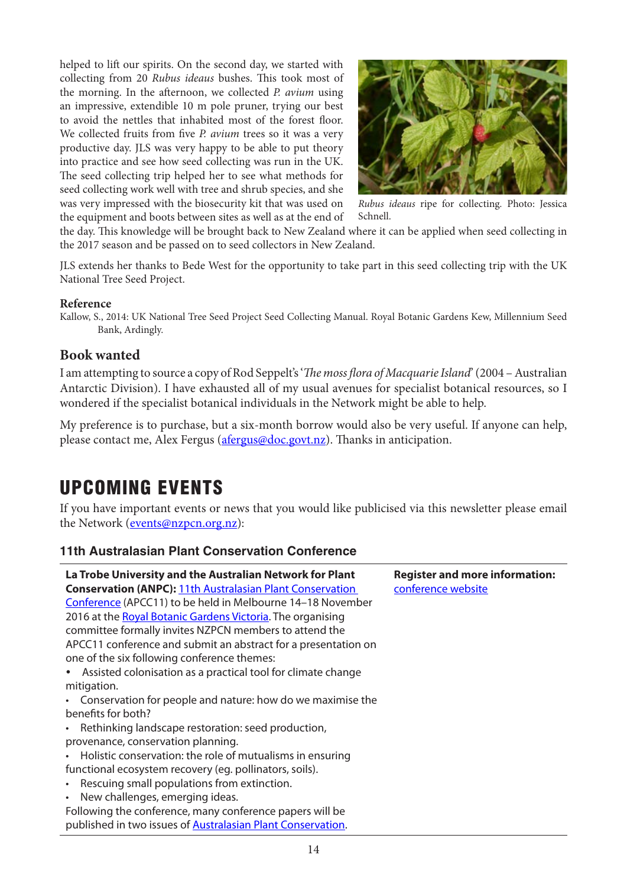helped to lift our spirits. On the second day, we started with collecting from 20 *Rubus ideaus* bushes. This took most of the morning. In the afternoon, we collected *P. avium* using an impressive, extendible 10 m pole pruner, trying our best to avoid the nettles that inhabited most of the forest floor. We collected fruits from five *P. avium* trees so it was a very productive day. JLS was very happy to be able to put theory into practice and see how seed collecting was run in the UK. The seed collecting trip helped her to see what methods for seed collecting work well with tree and shrub species, and she was very impressed with the biosecurity kit that was used on the equipment and boots between sites as well as at the end of



*Rubus ideaus* ripe for collecting*.* Photo: Jessica Schnell.

the day. This knowledge will be brought back to New Zealand where it can be applied when seed collecting in the 2017 season and be passed on to seed collectors in New Zealand.

JLS extends her thanks to Bede West for the opportunity to take part in this seed collecting trip with the UK National Tree Seed Project.

#### **Reference**

Kallow, S., 2014: UK National Tree Seed Project Seed Collecting Manual. Royal Botanic Gardens Kew, Millennium Seed Bank, Ardingly.

#### **Book wanted**

I am attempting to source a copy of Rod Seppelt's '*The moss flora of Macquarie Island*' (2004 – Australian Antarctic Division). I have exhausted all of my usual avenues for specialist botanical resources, so I wondered if the specialist botanical individuals in the Network might be able to help.

My preference is to purchase, but a six-month borrow would also be very useful. If anyone can help, please contact me, Alex Fergus ([afergus@doc.govt.nz](mailto:afergus@doc.govt.nz)). Thanks in anticipation.

# UPCOMING EVENTS

If you have important events or news that you would like publicised via this newsletter please email the Network (**events@nzpcn.org.nz**):

#### **11th Australasian Plant Conservation Conference**

| La Trobe University and the Australian Network for Plant<br><b>Conservation (ANPC): 11th Australasian Plant Conservation</b> | <b>Register and more information:</b><br>conference website |
|------------------------------------------------------------------------------------------------------------------------------|-------------------------------------------------------------|
| Conference (APCC11) to be held in Melbourne 14-18 November                                                                   |                                                             |
| 2016 at the Royal Botanic Gardens Victoria. The organising                                                                   |                                                             |
| committee formally invites NZPCN members to attend the                                                                       |                                                             |
| APCC11 conference and submit an abstract for a presentation on                                                               |                                                             |
| one of the six following conference themes:                                                                                  |                                                             |
| • Assisted colonisation as a practical tool for climate change                                                               |                                                             |
| mitigation.                                                                                                                  |                                                             |
| • Conservation for people and nature: how do we maximise the                                                                 |                                                             |
| benefits for both?                                                                                                           |                                                             |
| • Rethinking landscape restoration: seed production,                                                                         |                                                             |
| provenance, conservation planning.                                                                                           |                                                             |
| • Holistic conservation: the role of mutualisms in ensuring                                                                  |                                                             |
| functional ecosystem recovery (eg. pollinators, soils).                                                                      |                                                             |
| • Rescuing small populations from extinction.                                                                                |                                                             |
| • New challenges, emerging ideas.                                                                                            |                                                             |
| Following the conference, many conference papers will be                                                                     |                                                             |
| published in two issues of <b>Australasian Plant Conservation</b> .                                                          |                                                             |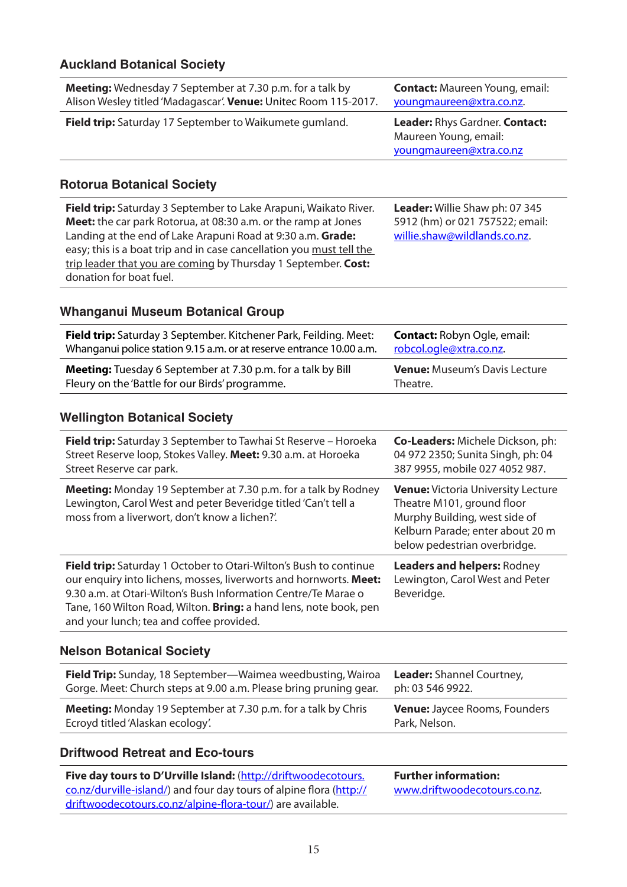#### **Auckland Botanical Society**

| <b>Meeting:</b> Wednesday 7 September at 7.30 p.m. for a talk by<br>Alison Wesley titled 'Madagascar'. Venue: Unitec Room 115-2017. | <b>Contact:</b> Maureen Young, email:<br>youngmaureen@xtra.co.nz.                  |
|-------------------------------------------------------------------------------------------------------------------------------------|------------------------------------------------------------------------------------|
| Field trip: Saturday 17 September to Waikumete gumland.                                                                             | Leader: Rhys Gardner. Contact:<br>Maureen Young, email:<br>youngmaureen@xtra.co.nz |
|                                                                                                                                     |                                                                                    |

#### **Rotorua Botanical Society**

**Field trip:** Saturday 3 September to Lake Arapuni, Waikato River. **Meet:** the car park Rotorua, at 08:30 a.m. or the ramp at Jones Landing at the end of Lake Arapuni Road at 9:30 a.m. **Grade:** easy; this is a boat trip and in case cancellation you must tell the trip leader that you are coming by Thursday 1 September. **Cost:** donation for boat fuel.

**Leader:** Willie Shaw ph: 07 345 5912 (hm) or 021 757522; email: [willie.shaw@wildlands.co.nz](mailto:willie.shaw@wildlands.co.nz).

#### **Whanganui Museum Botanical Group**

| <b>Field trip:</b> Saturday 3 September. Kitchener Park, Feilding. Meet: | <b>Contact: Robyn Ogle, email:</b>   |
|--------------------------------------------------------------------------|--------------------------------------|
| Whanganui police station 9.15 a.m. or at reserve entrance 10.00 a.m.     | robcol.ogle@xtra.co.nz.              |
| <b>Meeting:</b> Tuesday 6 September at 7.30 p.m. for a talk by Bill      | <b>Venue: Museum's Davis Lecture</b> |
| Fleury on the 'Battle for our Birds' programme.                          | Theatre.                             |

#### **Wellington Botanical Society**

| <b>Field trip:</b> Saturday 3 September to Tawhai St Reserve – Horoeka<br>Street Reserve loop, Stokes Valley. Meet: 9.30 a.m. at Horoeka<br>Street Reserve car park.                                                                                                                                                      | <b>Co-Leaders:</b> Michele Dickson, ph:<br>04 972 2350; Sunita Singh, ph: 04<br>387 9955, mobile 027 4052 987.                                                               |
|---------------------------------------------------------------------------------------------------------------------------------------------------------------------------------------------------------------------------------------------------------------------------------------------------------------------------|------------------------------------------------------------------------------------------------------------------------------------------------------------------------------|
| <b>Meeting:</b> Monday 19 September at 7.30 p.m. for a talk by Rodney<br>Lewington, Carol West and peter Beveridge titled 'Can't tell a<br>moss from a liverwort, don't know a lichen?'.                                                                                                                                  | <b>Venue:</b> Victoria University Lecture<br>Theatre M101, ground floor<br>Murphy Building, west side of<br>Kelburn Parade; enter about 20 m<br>below pedestrian overbridge. |
| Field trip: Saturday 1 October to Otari-Wilton's Bush to continue<br>our enquiry into lichens, mosses, liverworts and hornworts. Meet:<br>9.30 a.m. at Otari-Wilton's Bush Information Centre/Te Marae o<br>Tane, 160 Wilton Road, Wilton. Bring: a hand lens, note book, pen<br>and your lunch; tea and coffee provided. | <b>Leaders and helpers: Rodney</b><br>Lewington, Carol West and Peter<br>Beveridge.                                                                                          |

#### **Nelson Botanical Society**

| Field Trip: Sunday, 18 September—Waimea weedbusting, Wairoa          | <b>Leader:</b> Shannel Courtney,     |
|----------------------------------------------------------------------|--------------------------------------|
| Gorge. Meet: Church steps at 9.00 a.m. Please bring pruning gear.    | ph: 03 546 9922.                     |
| <b>Meeting:</b> Monday 19 September at 7.30 p.m. for a talk by Chris | <b>Venue:</b> Jaycee Rooms, Founders |
| Ecroyd titled 'Alaskan ecology'.                                     | Park, Nelson.                        |

#### **Driftwood Retreat and Eco-tours**

| Five day tours to D'Urville Island: (http://driftwoodecotours.      | <b>Further information:</b>  |
|---------------------------------------------------------------------|------------------------------|
| co.nz/durville-island/) and four day tours of alpine flora (http:// | www.driftwoodecotours.co.nz. |
| driftwoodecotours.co.nz/alpine-flora-tour/) are available.          |                              |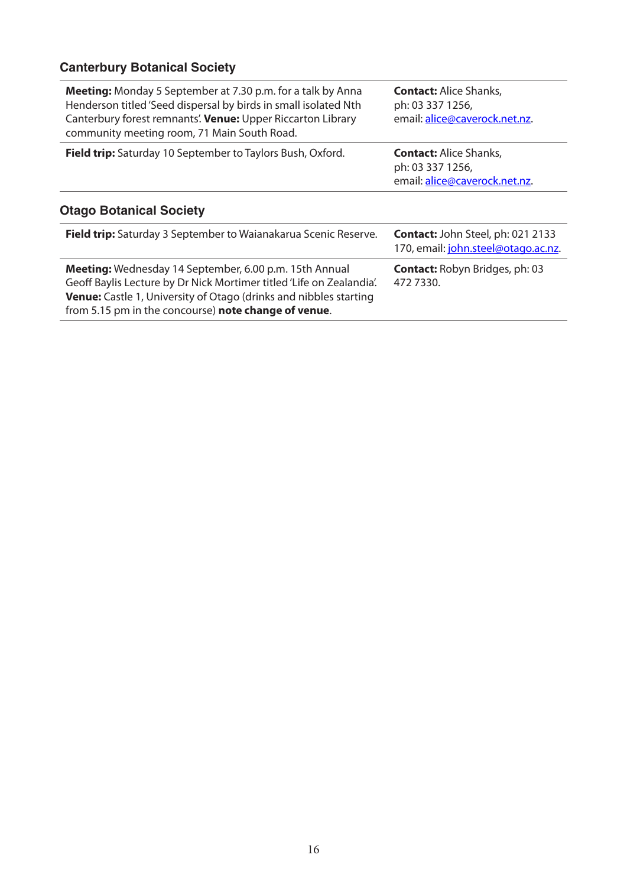## **Canterbury Botanical Society**

| <b>Meeting:</b> Monday 5 September at 7.30 p.m. for a talk by Anna<br>Henderson titled 'Seed dispersal by birds in small isolated Nth<br>Canterbury forest remnants'. Venue: Upper Riccarton Library<br>community meeting room, 71 Main South Road.         | <b>Contact: Alice Shanks,</b><br>ph: 03 337 1256,<br>email: alice@caverock.net.nz. |
|-------------------------------------------------------------------------------------------------------------------------------------------------------------------------------------------------------------------------------------------------------------|------------------------------------------------------------------------------------|
| Field trip: Saturday 10 September to Taylors Bush, Oxford.                                                                                                                                                                                                  | <b>Contact: Alice Shanks,</b><br>ph: 03 337 1256,<br>email: alice@caverock.net.nz. |
| <b>Otago Botanical Society</b>                                                                                                                                                                                                                              |                                                                                    |
| Field trip: Saturday 3 September to Waianakarua Scenic Reserve.                                                                                                                                                                                             | <b>Contact: John Steel, ph: 021 2133</b><br>170, email: john.steel@otago.ac.nz.    |
| Meeting: Wednesday 14 September, 6.00 p.m. 15th Annual<br>Geoff Baylis Lecture by Dr Nick Mortimer titled 'Life on Zealandia'.<br>Venue: Castle 1, University of Otago (drinks and nibbles starting<br>from 5.15 pm in the concourse) note change of venue. | <b>Contact: Robyn Bridges, ph: 03</b><br>472 7330.                                 |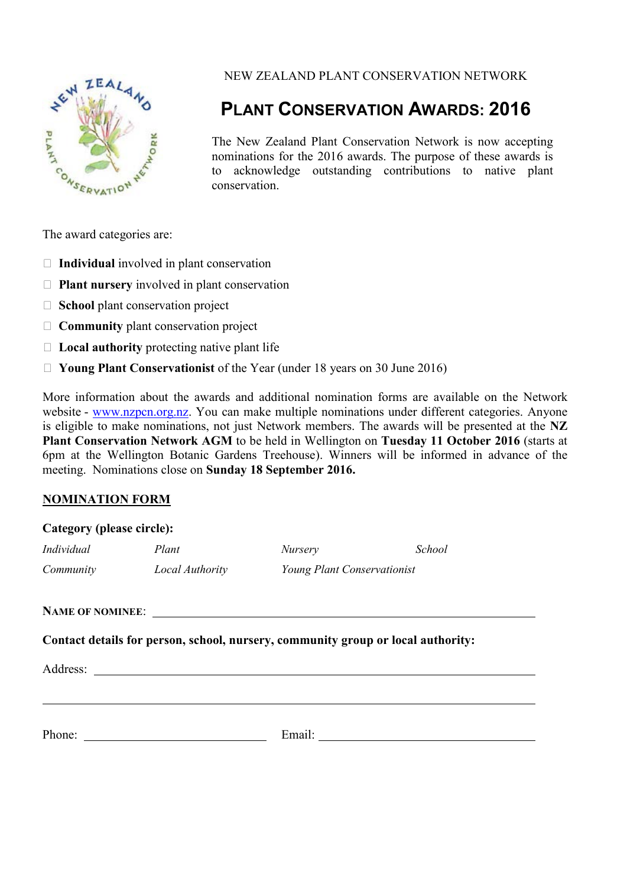

NEW ZEALAND PLANT CONSERVATION NETWORK

# **PLANT CONSERVATION AWARDS: 2016**

The New Zealand Plant Conservation Network is now accepting nominations for the 2016 awards. The purpose of these awards is to acknowledge outstanding contributions to native plant conservation.

The award categories are:

- **Individual** involved in plant conservation
- **Plant nursery** involved in plant conservation
- **School** plant conservation project
- **Community** plant conservation project
- **Local authority** protecting native plant life
- **Young Plant Conservationist** of the Year (under 18 years on 30 June 2016)

More information about the awards and additional nomination forms are available on the Network website - www.nzpcn.org.nz. You can make multiple nominations under different categories. Anyone is eligible to make nominations, not just Network members. The awards will be presented at the **NZ Plant Conservation Network AGM** to be held in Wellington on **Tuesday 11 October 2016** (starts at 6pm at the Wellington Botanic Gardens Treehouse). Winners will be informed in advance of the meeting. Nominations close on **Sunday 18 September 2016.**

#### **NOMINATION FORM**

| Category (please circle): |                                                                                  |                             |        |
|---------------------------|----------------------------------------------------------------------------------|-----------------------------|--------|
| Individual                | Plant                                                                            | <i>Nursery</i>              | School |
|                           | Community Local Authority                                                        | Young Plant Conservationist |        |
|                           |                                                                                  |                             |        |
|                           | Contact details for person, school, nursery, community group or local authority: |                             |        |
|                           |                                                                                  |                             |        |
|                           |                                                                                  |                             |        |
|                           |                                                                                  |                             |        |